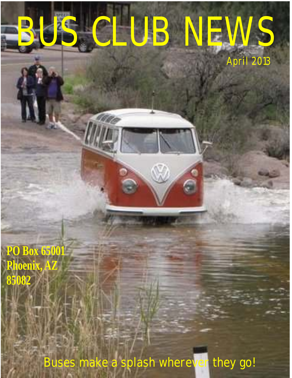## BUS CLUB NEWS April 2013

**PO Box 65001 Phoenix, AZ 85082**

Buses make a splash wherever they go!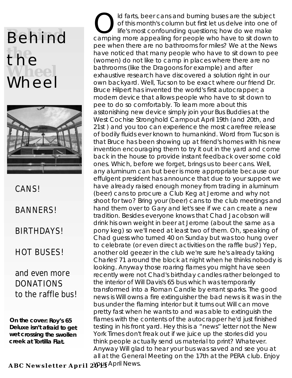### **Behind the** the<br>Wheel Wheel



CANS!

BANNERS!

**BIRTHDAYS!** 

HOT BUSES!

#### and even more DONATIONS to the raffle bus!

**On the cover:** *Roy's 65 Deluxe isn't afraid to get wet crossing the swollen creek at Tortilla Flat.*

ld farts, beer cans and burning buses are the subject of this month's column but first let us delve into one of life's most confounding questions; how do we make camping more appealing for people who have to sit down to pee when there are no bathrooms for miles? We at the News have noticed that many people who have to sit down to pee (women) do not like to camp in places where there are no bathrooms (like the Dragoons for example) and after exhaustive research have discovered a solution right in our own backyard. Well, Tucson to be exact where our friend Dr. Bruce Hilpert has invented the world's first autocrapper; a modern device that allows people who have to sit down to pee to do so comfortably. To learn more about this asstonishing new device simply join your Bus Buddies at the West Cochise Stronghold Campout April 19th (and 20th, and 21st ) and you too can experience the most carefree release of bodily fluids ever known to humankind. Word from Tucson is that Bruce has been showing up at friend's homes with his new invention encouraging them to try it out in the yard and come back in the house to provide instant feedback over some cold ones. Which, before we forget, brings us to beer cans. Well, any aluminum can but beer is more appropriate because our effulgent president has announce that due to your support we have already raised enough money from trading in aluminum (beer) cans to procure a Club Keg at Jerome and why not shoot for two? Bring your (beer) cans to the club meetings and hand them over to Gary and let's see if we can create a new tradition. Besides everyone knows that Chad Jacobson will drink his own weight in beer at Jerome (about the same as a pony keg) so we'll need at least two of them. Oh, speaking of Chad guess who turned 40 on Sunday but was too hung over to celebrate (or even direct activities on the raffle bus?) Yep, another old geezer in the club we're sure he's already taking Charles' 71 around the block at night when he thinks nobody is looking. Anyway those roaring flames you might have seen recently were not Chad's birthday candles rather belonged to the interior of Will Davis's 65 bus which was temporarily transformed into a Roman Candle by errant sparks. The good news is Will owns a fire extinguisher the bad news is it was in the bus under the flaming interior but it turns out Will can move pretty fast when he wants to and was able to extinguish the flames with the contents of the autocrapper he'd just finished testing in his front yard. Hey this is a "news" letter not the New York Times don't freak out if we juice up the stories did you think people actually send us material to print? Whatever. Anyway Will glad to hear your bus was saved and see you at all at the General Meeting on the 17th at the PERA club. Enjoy

 $\mathbf{A}\mathbf{B}\mathbf{C}$   $\mathbf{N}\mathbf{e}$   $\mathbf{w}\mathbf{s}$  letter  $\mathbf{A}\mathbf{p}\mathbf{r}$  **i** 1  $2$   $\mathbf{W}\mathbf{B}$   $\mathbf{A}\mathbf{p}$   $\mathbf{r}$  il  $\mathbf{N}\mathbf{e}$   $\mathbf{w}\mathbf{s}$ .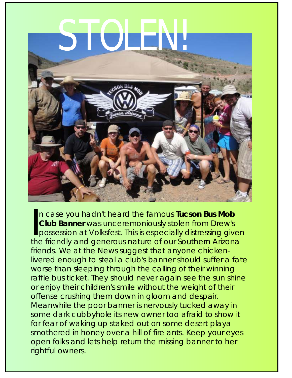# STOLEN!



possession at Volksfest. This is n case you hadn't heard the famous **Tucson Bus Mob**  In case you hadn't heard the famous Tucson Bus Mob<br>Club Banner was unceremoniously stolen from Drew's<br>possession at Volksfest. This is especially distressing given<br>the friendly and generous nature of our Southern Arizona the friendly and generous nature of our Southern Arizona friends. We at the News suggest that anyone chickenlivered enough to steal a club's banner should suffer a fate worse than sleeping through the calling of their winning raffle bus ticket. They should never again see the sun shine or enjoy their children's smile without the weight of their offense crushing them down in gloom and despair. Meanwhile the poor banner is nervously tucked away in some dark cubbyhole its new owner too afraid to show it for fear of waking up staked out on some desert playa smothered in honey over a hill of fire ants. Keep your eyes open folks and lets help return the missing banner to her rightful owners.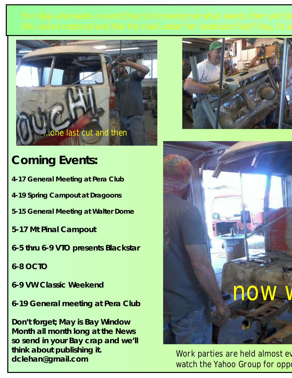

### **Coming Events:**

- **4-17 General Meeting at Pera Club**
- **4-19 Spring Campout at Dragoons**
- **5-15 General Meeting at Walter Dome**
- **5-17 Mt Pinal Campout**
- **6-5 thru 6-9 VTO presents Blackstar**
- **6-8 OCTO**
- **6-9 VW Classic Weekend**
- **6-19 General meeting at Pera Club**

**Don't forget; May is Bay Window Month all month long at the News so send in your Bay crap and we'll think about publishing it. dclehan@gmail.com**





Work parties are held almost ev watch the Yahoo Group for oppo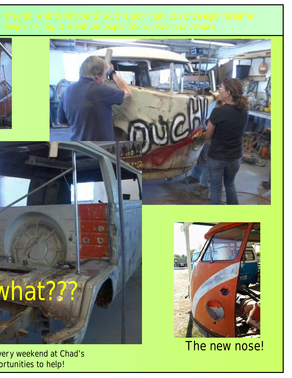Ð

n

 $\odot$ 

# vhat???

ery weekend at Chad's prtunities to help!



The new nose!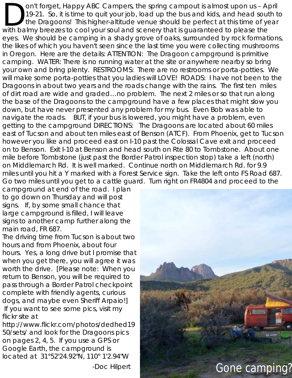riavigate the roads. Thor, if your bus is lowered, you might have a problem, even<br>getting to the campground DIRECTIONS: The Dragoons are located about 60 miles on't forget, Happy ABC Campers, the spring campout is almost upon us - April 19-21. So, it is time to quit your job, load up the bus and kids, and head south to the Dragoons! This higher-altitude venue should be perfect at this time of year with balmy breezes to cool your soul and scenery that is guaranteed to please the eyes. We should be camping in a shady grove of oaks, surrounded by rock formations, the likes of which you haven't seen since the last time you were collecting mushrooms in Oregon. Here are the details: ATTENTION: The Dragoon campground is primitive camping. WATER: There is no running water at the site or anywhere nearby so bring your own and bring plenty. RESTROOMS: There are no restrooms or porta-potties. We will make some porta-potties that you ladies will LOVE! ROADS: I have not been to the Dragoons in about two years and the roads change with the rains. The first ten miles of dirt road are wide and graded...no problem. The next 2 miles or so that run along the base of the Dragoons to the campground have a few places that might slow you down, but have never presented any problem for my bus. Even Bob was able to navigate the roads. BUT, if your bus is lowered, you might have a problem, even east of Tucson and about ten miles east of Benson (ATCF). From Phoenix, get to Tucson however you like and proceed east on I-10 past the Colossal Cave exit and proceed on to Benson. Exit I-10 at Benson and head south on Rte 80 to Tombstone. About one mile before Tombstone (just past the Border Patrol inspection stop) take a left (north) on Middlemarch Rd. It is well marked. Continue north on Middlemarch Rd. for 9.9 miles until you hit a Y marked with a Forest Service sign. Take the left onto FS Road 687. Go two miles until you get to a cattle guard. Turn right on FR4804 and proceed to the campground at end of the road. I plan

to go down on Thursday and will post signs. If, by some small chance that large campground is filled, I will leave signs to another camp further along the main road, FR 687. don't take them but be prepared with the prepared with the prepared with the prepared with

The driving time from Tucson is about two hours and from Phoenix, about four hours. Yes, a long drive but I promise that when you get there, you will agree it was worth the drive. [Please note: When you return to Benson, you will be required to pass through a Border Patrol checkpoint complete with friendly agents, curious dogs, and maybe even Sheriff Arpaio!] If you want to see some pics, visit my

http://www.flickr.com/photos/dedhed19 50/sets/ and look for the Dragoons pics on pages  $2, 4, 5$ . If you use a GPS or Google Earth, the campground is located at 31°52'24.92"N, 110° 1'2.94"W

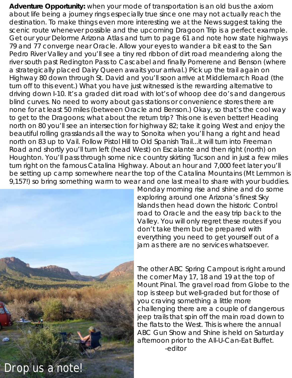Adventure Opportunity: when your mode of transportation is an old bus the axiom<br>about life being a journey rings especially true since one may not actually reach the<br>destination. To make things even more interesting we at scenic route whenever possible and the upcoming Dragoon Trip is a perfect example. Get our your Delorme Arizona Atlas and turn to page 61 and note how state highways 79 and 77 converge near Oracle. Allow your eyes to wander a bit east to the San Pedro River Valley and you'll see a tiny red ribbon of dirt road meandering along the river south past Redington Pass to Cascabel and finally Pomerene and Benson (where a strategically placed Dairy Queen awaits your arrival.) Pick up the trail again on Highway 80 down through St. David and you'll soon arrive at Middlemarch Road (the turn off to this event.) What you have just witnessed is the rewarding alternative to driving down I-10. It's a graded dirt road with lot's of whoop dee do's and dangerous blind curves. No need to worry about gas stations or convenience stores there are none for at least 50 miles (between Oracle and Benson.) Okay, so that's the cool way to get to the Dragoons; what about the return trip? This one is even better! Heading north on 80 you'll see an intersection for highway 82; take it going West and enjoy the beautiful rolling grasslands all the way to Sonoita when you'll hang a right and head north on 83 up to Vail. Follow Pistol Hill to Old Spanish Trail...it will turn into Freeman Road and shortly you'll turn left (head West) on Escalante and then right (north) on Houghton. You'll pass through some nice country skirting Tucson and in just a few miles turn right on the famous Catalina Highway. About an hour and 7,000 feet later you'll be setting up camp somewhere near the top of the Catalina Mountains (Mt Lemmon is 9,157!) so bring something warm to wear and one last meal to share with your buddies.



everything you need to get yourself out of a jam as there are no services whatsoever. The other ABC Spring Campout is right around the corner May 17, 18 and 19 at the top of Mount Pinal. The gravel road from Globe to the top is steep but well-graded but for those of you craving something a little more challenging there are a couple of dangerous jeep trails that spin off the main road down to the flats to the West. This is where the annual ABC Gun Show and Shine is held on Saturday afternoon prior to the All-U-Can-Eat Buffet.

Monday morning rise and shine and do some

Valley. You will only regret these routes if you

exploring around one Arizona's finest Sky Islands then head down the historic Control

don't take them but be prepared with